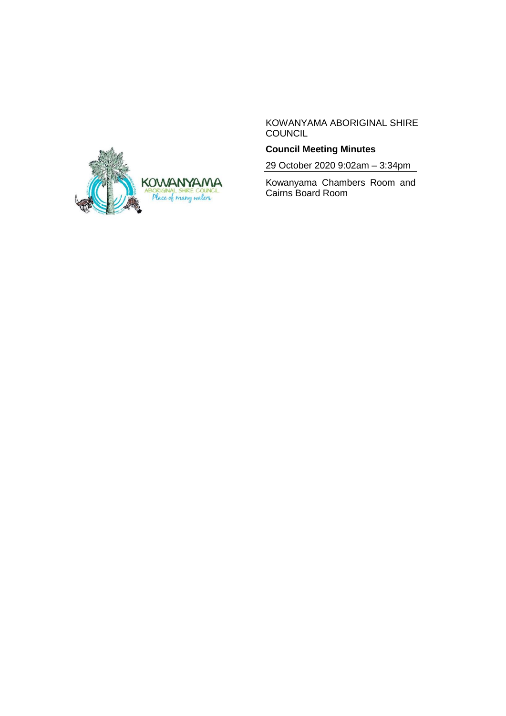

KOWANYAMA ABORIGINAL SHIRE COUNCIL

# **Council Meeting Minutes**

29 October 2020 9:02am – 3:34pm

Kowanyama Chambers Room and Cairns Board Room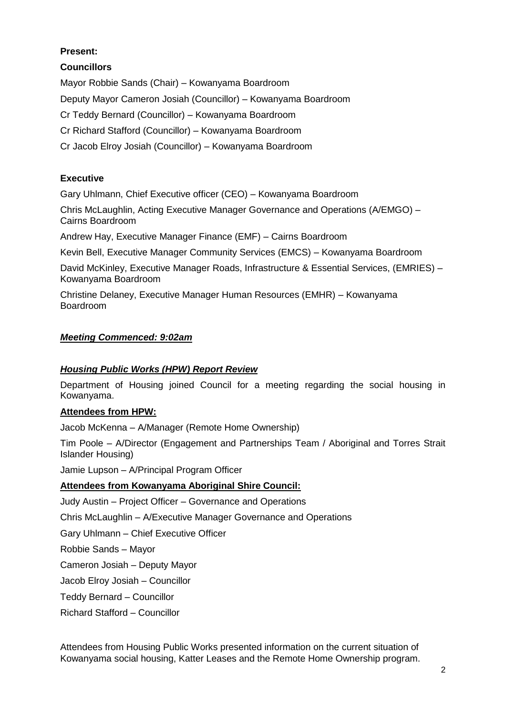# **Present:**

**Councillors**

Mayor Robbie Sands (Chair) – Kowanyama Boardroom

Deputy Mayor Cameron Josiah (Councillor) – Kowanyama Boardroom

Cr Teddy Bernard (Councillor) – Kowanyama Boardroom

Cr Richard Stafford (Councillor) – Kowanyama Boardroom

Cr Jacob Elroy Josiah (Councillor) – Kowanyama Boardroom

# **Executive**

Gary Uhlmann, Chief Executive officer (CEO) – Kowanyama Boardroom

Chris McLaughlin, Acting Executive Manager Governance and Operations (A/EMGO) – Cairns Boardroom

Andrew Hay, Executive Manager Finance (EMF) – Cairns Boardroom

Kevin Bell, Executive Manager Community Services (EMCS) – Kowanyama Boardroom

David McKinley, Executive Manager Roads, Infrastructure & Essential Services, (EMRIES) – Kowanyama Boardroom

Christine Delaney, Executive Manager Human Resources (EMHR) – Kowanyama Boardroom

# *Meeting Commenced: 9:02am*

# *Housing Public Works (HPW) Report Review*

Department of Housing joined Council for a meeting regarding the social housing in Kowanyama.

# **Attendees from HPW:**

Jacob McKenna – A/Manager (Remote Home Ownership)

Tim Poole – A/Director (Engagement and Partnerships Team / Aboriginal and Torres Strait Islander Housing)

Jamie Lupson – A/Principal Program Officer

# **Attendees from Kowanyama Aboriginal Shire Council:**

Judy Austin – Project Officer – Governance and Operations

Chris McLaughlin – A/Executive Manager Governance and Operations

Gary Uhlmann – Chief Executive Officer

Robbie Sands – Mayor

Cameron Josiah – Deputy Mayor

Jacob Elroy Josiah – Councillor

Teddy Bernard – Councillor

Richard Stafford – Councillor

Attendees from Housing Public Works presented information on the current situation of Kowanyama social housing, Katter Leases and the Remote Home Ownership program.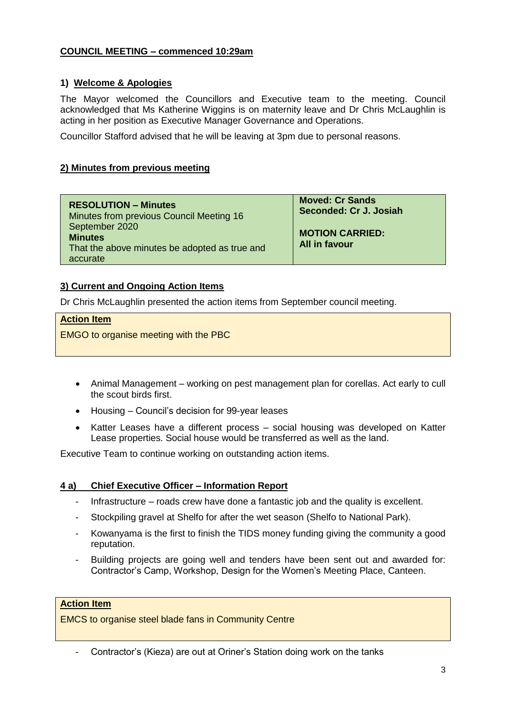# **COUNCIL MEETING – commenced 10:29am**

## **1) Welcome & Apologies**

The Mayor welcomed the Councillors and Executive team to the meeting. Council acknowledged that Ms Katherine Wiggins is on maternity leave and Dr Chris McLaughlin is acting in her position as Executive Manager Governance and Operations.

Councillor Stafford advised that he will be leaving at 3pm due to personal reasons.

## **2) Minutes from previous meeting**

| <b>RESOLUTION - Minutes</b><br>Minutes from previous Council Meeting 16<br>September 2020<br><b>Minutes</b><br>That the above minutes be adopted as true and<br>accurate | <b>Moved: Cr Sands</b><br>Seconded: Cr J. Josiah<br><b>MOTION CARRIED:</b><br><b>All in favour</b> |
|--------------------------------------------------------------------------------------------------------------------------------------------------------------------------|----------------------------------------------------------------------------------------------------|
|                                                                                                                                                                          |                                                                                                    |

# **3) Current and Ongoing Action Items**

Dr Chris McLaughlin presented the action items from September council meeting.

#### **Action Item**

EMGO to organise meeting with the PBC

- Animal Management working on pest management plan for corellas. Act early to cull the scout birds first.
- Housing Council's decision for 99-year leases
- Katter Leases have a different process social housing was developed on Katter Lease properties. Social house would be transferred as well as the land.

Executive Team to continue working on outstanding action items.

### **4 a) Chief Executive Officer – Information Report**

- Infrastructure roads crew have done a fantastic job and the quality is excellent.
- Stockpiling gravel at Shelfo for after the wet season (Shelfo to National Park).
- Kowanyama is the first to finish the TIDS money funding giving the community a good reputation.
- Building projects are going well and tenders have been sent out and awarded for: Contractor's Camp, Workshop, Design for the Women's Meeting Place, Canteen.

### **Action Item**

EMCS to organise steel blade fans in Community Centre

- Contractor's (Kieza) are out at Oriner's Station doing work on the tanks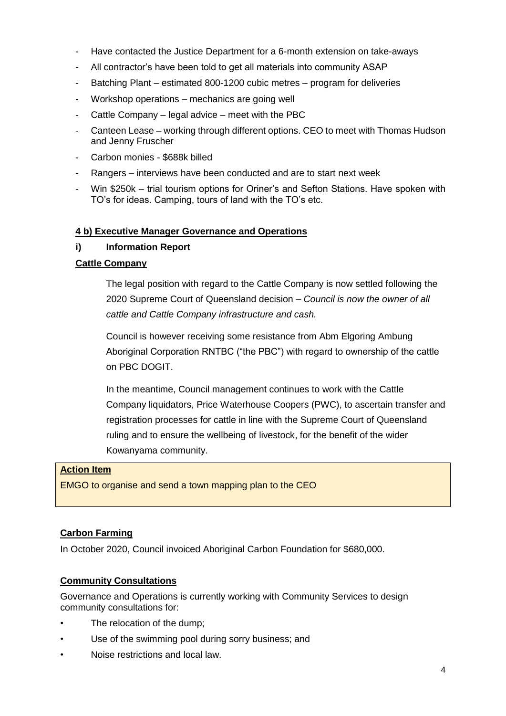- Have contacted the Justice Department for a 6-month extension on take-aways
- All contractor's have been told to get all materials into community ASAP
- Batching Plant estimated 800-1200 cubic metres program for deliveries
- Workshop operations mechanics are going well
- Cattle Company legal advice meet with the PBC
- Canteen Lease working through different options. CEO to meet with Thomas Hudson and Jenny Fruscher
- Carbon monies \$688k billed
- Rangers interviews have been conducted and are to start next week
- Win \$250k trial tourism options for Oriner's and Sefton Stations. Have spoken with TO's for ideas. Camping, tours of land with the TO's etc.

## **4 b) Executive Manager Governance and Operations**

## **i) Information Report**

## **Cattle Company**

The legal position with regard to the Cattle Company is now settled following the 2020 Supreme Court of Queensland decision – *Council is now the owner of all cattle and Cattle Company infrastructure and cash.*

Council is however receiving some resistance from Abm Elgoring Ambung Aboriginal Corporation RNTBC ("the PBC") with regard to ownership of the cattle on PBC DOGIT.

In the meantime, Council management continues to work with the Cattle Company liquidators, Price Waterhouse Coopers (PWC), to ascertain transfer and registration processes for cattle in line with the Supreme Court of Queensland ruling and to ensure the wellbeing of livestock, for the benefit of the wider Kowanyama community.

### **Action Item**

EMGO to organise and send a town mapping plan to the CEO

# **Carbon Farming**

In October 2020, Council invoiced Aboriginal Carbon Foundation for \$680,000.

# **Community Consultations**

Governance and Operations is currently working with Community Services to design community consultations for:

- The relocation of the dump;
- Use of the swimming pool during sorry business; and
- Noise restrictions and local law.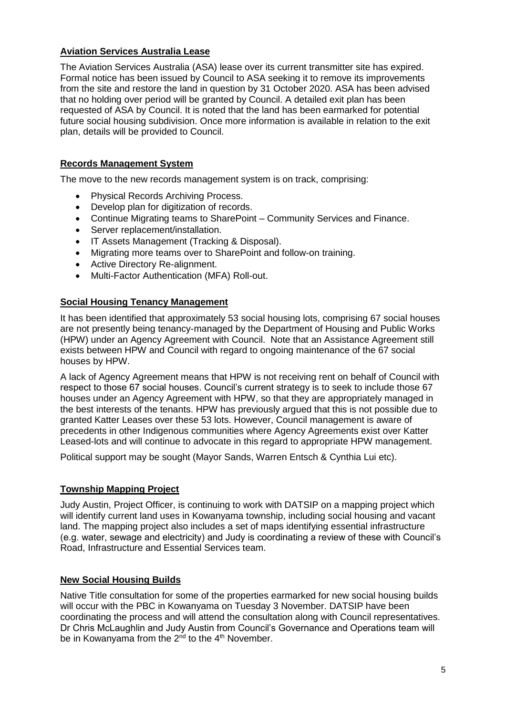# **Aviation Services Australia Lease**

The Aviation Services Australia (ASA) lease over its current transmitter site has expired. Formal notice has been issued by Council to ASA seeking it to remove its improvements from the site and restore the land in question by 31 October 2020. ASA has been advised that no holding over period will be granted by Council. A detailed exit plan has been requested of ASA by Council. It is noted that the land has been earmarked for potential future social housing subdivision. Once more information is available in relation to the exit plan, details will be provided to Council.

# **Records Management System**

The move to the new records management system is on track, comprising:

- Physical Records Archiving Process.
- Develop plan for digitization of records.
- Continue Migrating teams to SharePoint Community Services and Finance.
- Server replacement/installation.
- IT Assets Management (Tracking & Disposal).
- Migrating more teams over to SharePoint and follow-on training.
- Active Directory Re-alignment.
- Multi-Factor Authentication (MFA) Roll-out.

## **Social Housing Tenancy Management**

It has been identified that approximately 53 social housing lots, comprising 67 social houses are not presently being tenancy-managed by the Department of Housing and Public Works (HPW) under an Agency Agreement with Council. Note that an Assistance Agreement still exists between HPW and Council with regard to ongoing maintenance of the 67 social houses by HPW.

A lack of Agency Agreement means that HPW is not receiving rent on behalf of Council with respect to those 67 social houses. Council's current strategy is to seek to include those 67 houses under an Agency Agreement with HPW, so that they are appropriately managed in the best interests of the tenants. HPW has previously argued that this is not possible due to granted Katter Leases over these 53 lots. However, Council management is aware of precedents in other Indigenous communities where Agency Agreements exist over Katter Leased-lots and will continue to advocate in this regard to appropriate HPW management.

Political support may be sought (Mayor Sands, Warren Entsch & Cynthia Lui etc).

# **Township Mapping Project**

Judy Austin, Project Officer, is continuing to work with DATSIP on a mapping project which will identify current land uses in Kowanyama township, including social housing and vacant land. The mapping project also includes a set of maps identifying essential infrastructure (e.g. water, sewage and electricity) and Judy is coordinating a review of these with Council's Road, Infrastructure and Essential Services team.

# **New Social Housing Builds**

Native Title consultation for some of the properties earmarked for new social housing builds will occur with the PBC in Kowanyama on Tuesday 3 November. DATSIP have been coordinating the process and will attend the consultation along with Council representatives. Dr Chris McLaughlin and Judy Austin from Council's Governance and Operations team will be in Kowanyama from the  $2^{nd}$  to the  $4^{th}$  November.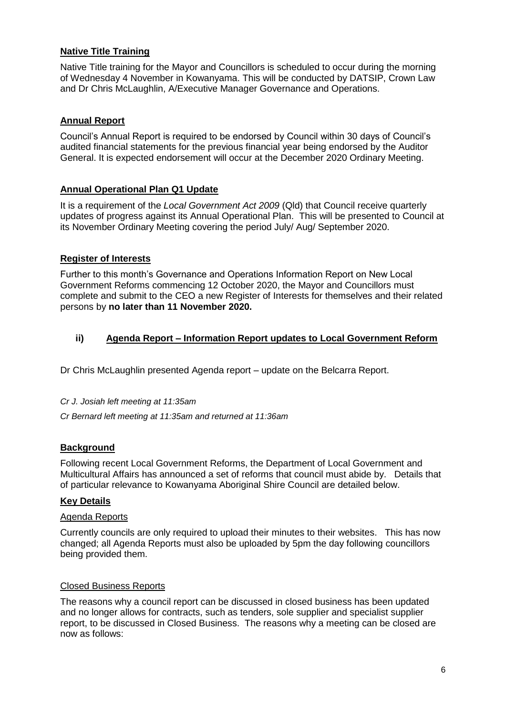# **Native Title Training**

Native Title training for the Mayor and Councillors is scheduled to occur during the morning of Wednesday 4 November in Kowanyama. This will be conducted by DATSIP, Crown Law and Dr Chris McLaughlin, A/Executive Manager Governance and Operations.

### **Annual Report**

Council's Annual Report is required to be endorsed by Council within 30 days of Council's audited financial statements for the previous financial year being endorsed by the Auditor General. It is expected endorsement will occur at the December 2020 Ordinary Meeting.

### **Annual Operational Plan Q1 Update**

It is a requirement of the *Local Government Act 2009* (Qld) that Council receive quarterly updates of progress against its Annual Operational Plan. This will be presented to Council at its November Ordinary Meeting covering the period July/ Aug/ September 2020.

#### **Register of Interests**

Further to this month's Governance and Operations Information Report on New Local Government Reforms commencing 12 October 2020, the Mayor and Councillors must complete and submit to the CEO a new Register of Interests for themselves and their related persons by **no later than 11 November 2020.**

### **ii) Agenda Report – Information Report updates to Local Government Reform**

Dr Chris McLaughlin presented Agenda report – update on the Belcarra Report.

#### *Cr J. Josiah left meeting at 11:35am*

*Cr Bernard left meeting at 11:35am and returned at 11:36am*

#### **Background**

Following recent Local Government Reforms, the Department of Local Government and Multicultural Affairs has announced a set of reforms that council must abide by. Details that of particular relevance to Kowanyama Aboriginal Shire Council are detailed below.

#### **Key Details**

#### Agenda Reports

Currently councils are only required to upload their minutes to their websites. This has now changed; all Agenda Reports must also be uploaded by 5pm the day following councillors being provided them.

#### Closed Business Reports

The reasons why a council report can be discussed in closed business has been updated and no longer allows for contracts, such as tenders, sole supplier and specialist supplier report, to be discussed in Closed Business. The reasons why a meeting can be closed are now as follows: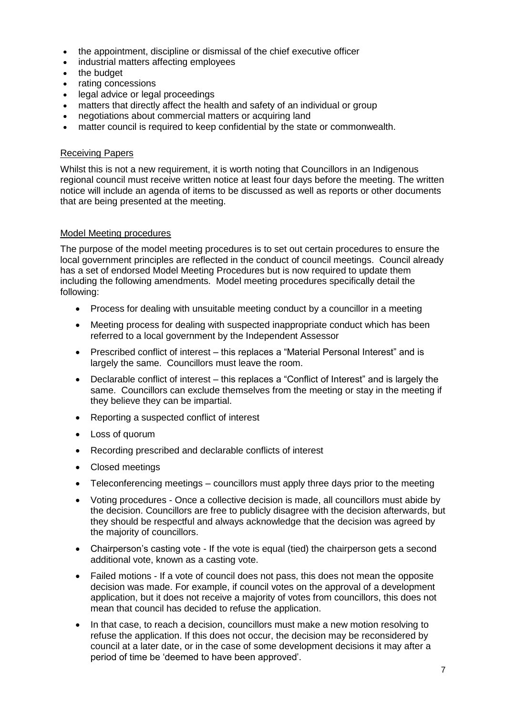- the appointment, discipline or dismissal of the chief executive officer
- industrial matters affecting employees
- the budget
- rating concessions
- legal advice or legal proceedings
- matters that directly affect the health and safety of an individual or group
- negotiations about commercial matters or acquiring land
- matter council is required to keep confidential by the state or commonwealth.

## Receiving Papers

Whilst this is not a new requirement, it is worth noting that Councillors in an Indigenous regional council must receive written notice at least four days before the meeting. The written notice will include an agenda of items to be discussed as well as reports or other documents that are being presented at the meeting.

### Model Meeting procedures

The purpose of the model meeting procedures is to set out certain procedures to ensure the local government principles are reflected in the conduct of council meetings. Council already has a set of endorsed Model Meeting Procedures but is now required to update them including the following amendments. Model meeting procedures specifically detail the following:

- Process for dealing with unsuitable meeting conduct by a councillor in a meeting
- Meeting process for dealing with suspected inappropriate conduct which has been referred to a local government by the Independent Assessor
- Prescribed conflict of interest this replaces a "Material Personal Interest" and is largely the same. Councillors must leave the room.
- Declarable conflict of interest this replaces a "Conflict of Interest" and is largely the same. Councillors can exclude themselves from the meeting or stay in the meeting if they believe they can be impartial.
- Reporting a suspected conflict of interest
- Loss of quorum
- Recording prescribed and declarable conflicts of interest
- Closed meetings
- Teleconferencing meetings councillors must apply three days prior to the meeting
- Voting procedures Once a collective decision is made, all councillors must abide by the decision. Councillors are free to publicly disagree with the decision afterwards, but they should be respectful and always acknowledge that the decision was agreed by the majority of councillors.
- Chairperson's casting vote If the vote is equal (tied) the chairperson gets a second additional vote, known as a casting vote.
- Failed motions If a vote of council does not pass, this does not mean the opposite decision was made. For example, if council votes on the approval of a development application, but it does not receive a majority of votes from councillors, this does not mean that council has decided to refuse the application.
- In that case, to reach a decision, councillors must make a new motion resolving to refuse the application. If this does not occur, the decision may be reconsidered by council at a later date, or in the case of some development decisions it may after a period of time be 'deemed to have been approved'.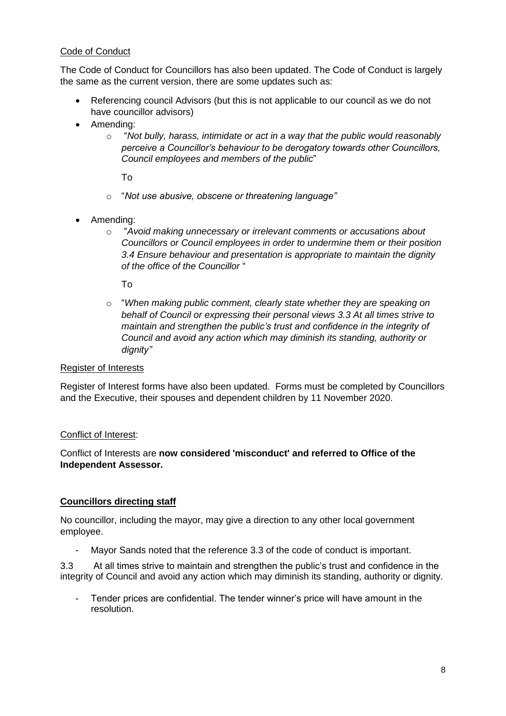# Code of Conduct

The Code of Conduct for Councillors has also been updated. The Code of Conduct is largely the same as the current version, there are some updates such as:

- Referencing council Advisors (but this is not applicable to our council as we do not have councillor advisors)
- Amending:
	- o "*Not bully, harass, intimidate or act in a way that the public would reasonably perceive a Councillor's behaviour to be derogatory towards other Councillors, Council employees and members of the public*"

To

- o "*Not use abusive, obscene or threatening language"*
- Amending:
	- o "*Avoid making unnecessary or irrelevant comments or accusations about Councillors or Council employees in order to undermine them or their position 3.4 Ensure behaviour and presentation is appropriate to maintain the dignity of the office of the Councillor* "

To

o "*When making public comment, clearly state whether they are speaking on behalf of Council or expressing their personal views 3.3 At all times strive to maintain and strengthen the public's trust and confidence in the integrity of Council and avoid any action which may diminish its standing, authority or dignity"*

### Register of Interests

Register of Interest forms have also been updated. Forms must be completed by Councillors and the Executive, their spouses and dependent children by 11 November 2020.

### Conflict of Interest:

Conflict of Interests are **now considered 'misconduct' and referred to Office of the Independent Assessor.**

# **Councillors directing staff**

No councillor, including the mayor, may give a direction to any other local government employee.

- Mayor Sands noted that the reference 3.3 of the code of conduct is important.

3.3 At all times strive to maintain and strengthen the public's trust and confidence in the integrity of Council and avoid any action which may diminish its standing, authority or dignity.

- Tender prices are confidential. The tender winner's price will have amount in the resolution.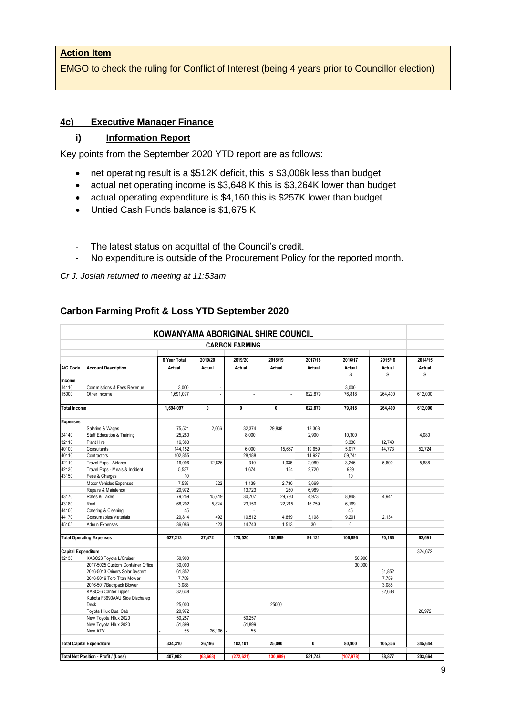## **Action Item**

EMGO to check the ruling for Conflict of Interest (being 4 years prior to Councillor election)

### **4c) Executive Manager Finance**

## **i) Information Report**

Key points from the September 2020 YTD report are as follows:

- net operating result is a \$512K deficit, this is \$3,006k less than budget
- actual net operating income is \$3,648 K this is \$3,264K lower than budget
- actual operating expenditure is \$4,160 this is \$257K lower than budget
- Untied Cash Funds balance is \$1,675 K
- The latest status on acquittal of the Council's credit.
- No expenditure is outside of the Procurement Policy for the reported month.

*Cr J. Josiah returned to meeting at 11:53am*

| KOWANYAMA ABORIGINAL SHIRE COUNCIL<br><b>CARBON FARMING</b> |                                       |              |           |              |            |         |            |         |         |
|-------------------------------------------------------------|---------------------------------------|--------------|-----------|--------------|------------|---------|------------|---------|---------|
|                                                             |                                       | 6 Year Total | 2019/20   | 2019/20      | 2018/19    | 2017/18 | 2016/17    | 2015/16 | 2014/15 |
| A/C Code                                                    | <b>Account Description</b>            | Actual       | Actual    | Actual       | Actual     | Actual  | Actual     | Actual  | Actual  |
|                                                             |                                       |              |           |              |            |         | \$         | \$      | \$      |
| Income                                                      |                                       |              |           |              |            |         |            |         |         |
| 14110                                                       | Commissions & Fees Revenue            | 3.000        | $\sim$    |              |            |         | 3.000      |         |         |
| 15000                                                       | Other Income                          | 1.691.097    | ÷.        |              |            | 622.879 | 76.818     | 264.400 | 612.000 |
| <b>Total Income</b>                                         |                                       | 1,694,097    | 0         | $\mathbf 0$  | 0          | 622,879 | 79,818     | 264,400 | 612,000 |
| <b>Expenses</b>                                             |                                       |              |           |              |            |         |            |         |         |
|                                                             | Salaries & Wages                      | 75,521       | 2,666     | 32,374       | 29.838     | 13,308  |            |         |         |
| 24140                                                       | <b>Staff Education &amp; Training</b> | 25,280       |           | 8,000        |            | 2,900   | 10.300     |         | 4.080   |
| 32110                                                       | Plant Hire                            | 16.383       |           |              |            |         | 3.330      | 12.740  |         |
| 40100                                                       | Consultants                           | 144,152      |           | 6.000        | 15.667     | 19.659  | 5,017      | 44.773  | 52.724  |
| 40110                                                       | Contractors                           | 102,855      |           | 28,188       |            | 14,927  | 59,741     |         |         |
| 42110                                                       | Travel Exps - Airfares                | 16,096       | 12,626    | 310          | 1,036      | 2,089   | 3,246      | 5.600   | 5.888   |
| 42130                                                       | Travel Exps - Meals & Incident        | 5,537        |           | 1,674        | 154        | 2.720   | 989        |         |         |
| 43150                                                       | Fees & Charges                        | 10           |           |              |            |         | 10         |         |         |
|                                                             | Motor Vehicles Expenses               | 7,538        | 322       | 1,139        | 2,730      | 3.669   |            |         |         |
|                                                             | Repairs & Maintence                   | 20,972       |           | 13,723       | 260        | 6,989   |            |         |         |
| 43170                                                       | Rates & Taxes                         | 79,259       | 15,419    | 30,707       | 29,790     | 4,973   | 8.848      | 4.941   |         |
| 43180                                                       | Rent                                  | 68.292       | 5,824     | 23,150       | 22,215     | 16,759  | 6,169      |         |         |
| 44100                                                       | Catering & Cleaning                   | 45           |           |              |            |         | 45         |         |         |
| 44170                                                       | Consumables/Materials                 | 29,814       | 492       | 10,512       | 4,859      | 3,108   | 9,201      | 2.134   |         |
| 45105                                                       | Admin Expenses                        | 36.086       | 123       | 14,743       | 1,513      | 30      | 0          |         |         |
|                                                             | <b>Total Operating Expenses</b>       | 627,213      | 37,472    | 170,520      | 105,989    | 91,131  | 106,896    | 70,186  | 62,691  |
| <b>Capital Expenditure</b>                                  |                                       |              |           |              |            |         |            |         | 324.672 |
| 32130                                                       | KASC23 Toyota L/Cruiser               | 50,900       |           |              |            |         | 50,900     |         |         |
|                                                             | 2017-5025 Custom Container Office     | 30.000       |           |              |            |         | 30,000     |         |         |
|                                                             | 2016-5013 Oriners Solar System        | 61,852       |           |              |            |         |            | 61.852  |         |
|                                                             | 2016-5016 Toro Titan Mower            | 7,759        |           |              |            |         |            | 7,759   |         |
|                                                             | 2016-5017Backpack Blower              | 3,088        |           |              |            |         |            | 3,088   |         |
|                                                             | KASC36 Canter Tipper                  | 32,638       |           |              |            |         |            | 32.638  |         |
|                                                             | Kubota F3690AAU Side Dischareg        |              |           |              |            |         |            |         |         |
|                                                             | Deck                                  | 25.000       |           |              | 25000      |         |            |         |         |
|                                                             | Toyota Hilux Dual Cab                 | 20,972       |           |              |            |         |            |         | 20.972  |
|                                                             | New Toyota Hilux 2020                 | 50,257       |           | 50,257       |            |         |            |         |         |
|                                                             | New Toyota Hilux 2020<br>New ATV      | 51,899<br>55 | 26.196    | 51,899<br>55 |            |         |            |         |         |
|                                                             |                                       |              |           |              |            |         |            |         |         |
|                                                             | <b>Total Capital Expenditure</b>      | 334,310      | 26,196    | 102,101      | 25.000     | 0       | 80,900     | 105.336 | 345.644 |
|                                                             |                                       |              |           |              |            |         |            |         |         |
|                                                             | Total Net Position - Profit / (Loss)  | 407.902      | (63, 668) | (272, 621)   | (130, 989) | 531.748 | (107, 978) | 88.877  | 203.664 |

# **Carbon Farming Profit & Loss YTD September 2020**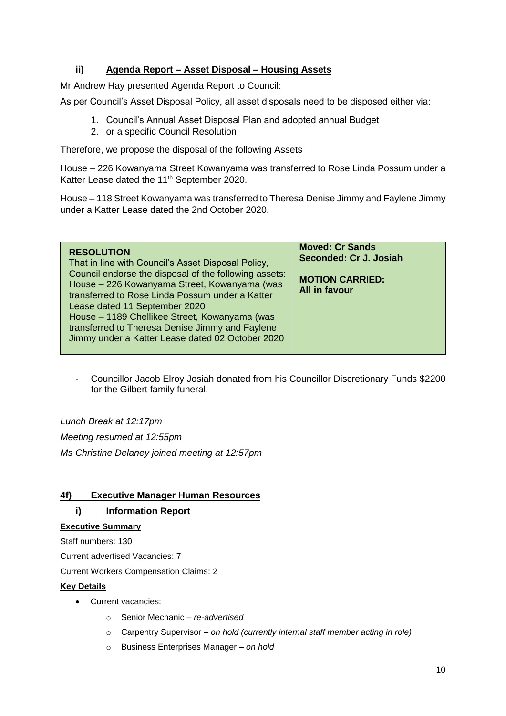# **ii) Agenda Report – Asset Disposal – Housing Assets**

Mr Andrew Hay presented Agenda Report to Council:

As per Council's Asset Disposal Policy, all asset disposals need to be disposed either via:

- 1. Council's Annual Asset Disposal Plan and adopted annual Budget
- 2. or a specific Council Resolution

Therefore, we propose the disposal of the following Assets

House – 226 Kowanyama Street Kowanyama was transferred to Rose Linda Possum under a Katter Lease dated the 11<sup>th</sup> September 2020.

House – 118 Street Kowanyama was transferred to Theresa Denise Jimmy and Faylene Jimmy under a Katter Lease dated the 2nd October 2020.

| <b>RESOLUTION</b><br>That in line with Council's Asset Disposal Policy,<br>Council endorse the disposal of the following assets:<br>House - 226 Kowanyama Street, Kowanyama (was<br>transferred to Rose Linda Possum under a Katter<br>Lease dated 11 September 2020<br>House - 1189 Chellikee Street, Kowanyama (was<br>transferred to Theresa Denise Jimmy and Faylene<br>Jimmy under a Katter Lease dated 02 October 2020 | <b>Moved: Cr Sands</b><br>Seconded: Cr J. Josiah<br><b>MOTION CARRIED:</b><br><b>All in favour</b> |
|------------------------------------------------------------------------------------------------------------------------------------------------------------------------------------------------------------------------------------------------------------------------------------------------------------------------------------------------------------------------------------------------------------------------------|----------------------------------------------------------------------------------------------------|
|------------------------------------------------------------------------------------------------------------------------------------------------------------------------------------------------------------------------------------------------------------------------------------------------------------------------------------------------------------------------------------------------------------------------------|----------------------------------------------------------------------------------------------------|

- Councillor Jacob Elroy Josiah donated from his Councillor Discretionary Funds \$2200 for the Gilbert family funeral.

*Lunch Break at 12:17pm Meeting resumed at 12:55pm Ms Christine Delaney joined meeting at 12:57pm*

# **4f) Executive Manager Human Resources**

# **i) Information Report**

# **Executive Summary**

Staff numbers: 130

Current advertised Vacancies: 7

Current Workers Compensation Claims: 2

### **Key Details**

- Current vacancies:
	- o Senior Mechanic *– re-advertised*
	- o Carpentry Supervisor *– on hold (currently internal staff member acting in role)*
	- o Business Enterprises Manager *– on hold*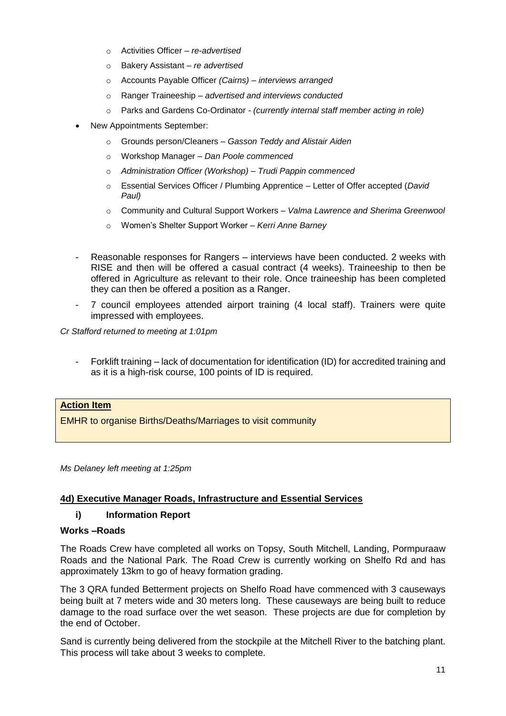- o Activities Officer *re*-*advertised*
- o Bakery Assistant *re advertised*
- o Accounts Payable Officer *(Cairns) – interviews arranged*
- o Ranger Traineeship *– advertised and interviews conducted*
- o Parks and Gardens Co-Ordinator *- (currently internal staff member acting in role)*
- New Appointments September:
	- o Grounds person/Cleaners *Gasson Teddy and Alistair Aiden*
	- o Workshop Manager *Dan Poole commenced*
	- o *Administration Officer (Workshop) – Trudi Pappin commenced*
	- o Essential Services Officer / Plumbing Apprentice Letter of Offer accepted (*David Paul)*
	- o Community and Cultural Support Workers *– Valma Lawrence and Sherima Greenwool*
	- o Women's Shelter Support Worker *– Kerri Anne Barney*
- Reasonable responses for Rangers interviews have been conducted. 2 weeks with RISE and then will be offered a casual contract (4 weeks). Traineeship to then be offered in Agriculture as relevant to their role. Once traineeship has been completed they can then be offered a position as a Ranger.
- 7 council employees attended airport training (4 local staff). Trainers were quite impressed with employees.

*Cr Stafford returned to meeting at 1:01pm*

- Forklift training – lack of documentation for identification (ID) for accredited training and as it is a high-risk course, 100 points of ID is required.

## **Action Item**

EMHR to organise Births/Deaths/Marriages to visit community

*Ms Delaney left meeting at 1:25pm*

### **4d) Executive Manager Roads, Infrastructure and Essential Services**

### **i) Information Report**

#### **Works –Roads**

The Roads Crew have completed all works on Topsy, South Mitchell, Landing, Pormpuraaw Roads and the National Park. The Road Crew is currently working on Shelfo Rd and has approximately 13km to go of heavy formation grading.

The 3 QRA funded Betterment projects on Shelfo Road have commenced with 3 causeways being built at 7 meters wide and 30 meters long. These causeways are being built to reduce damage to the road surface over the wet season. These projects are due for completion by the end of October.

Sand is currently being delivered from the stockpile at the Mitchell River to the batching plant. This process will take about 3 weeks to complete.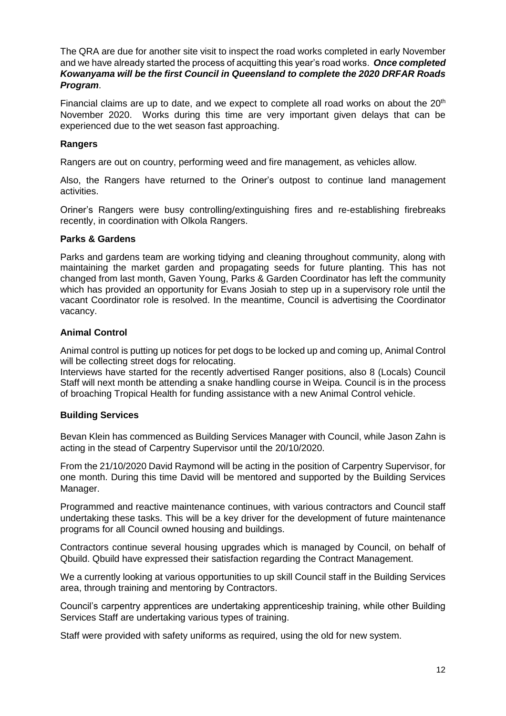The QRA are due for another site visit to inspect the road works completed in early November and we have already started the process of acquitting this year's road works. *Once completed Kowanyama will be the first Council in Queensland to complete the 2020 DRFAR Roads Program*.

Financial claims are up to date, and we expect to complete all road works on about the  $20<sup>th</sup>$ November 2020. Works during this time are very important given delays that can be experienced due to the wet season fast approaching.

### **Rangers**

Rangers are out on country, performing weed and fire management, as vehicles allow.

Also, the Rangers have returned to the Oriner's outpost to continue land management activities.

Oriner's Rangers were busy controlling/extinguishing fires and re-establishing firebreaks recently, in coordination with Olkola Rangers.

### **Parks & Gardens**

Parks and gardens team are working tidying and cleaning throughout community, along with maintaining the market garden and propagating seeds for future planting. This has not changed from last month, Gaven Young, Parks & Garden Coordinator has left the community which has provided an opportunity for Evans Josiah to step up in a supervisory role until the vacant Coordinator role is resolved. In the meantime, Council is advertising the Coordinator vacancy.

## **Animal Control**

Animal control is putting up notices for pet dogs to be locked up and coming up, Animal Control will be collecting street dogs for relocating.

Interviews have started for the recently advertised Ranger positions, also 8 (Locals) Council Staff will next month be attending a snake handling course in Weipa. Council is in the process of broaching Tropical Health for funding assistance with a new Animal Control vehicle.

# **Building Services**

Bevan Klein has commenced as Building Services Manager with Council, while Jason Zahn is acting in the stead of Carpentry Supervisor until the 20/10/2020.

From the 21/10/2020 David Raymond will be acting in the position of Carpentry Supervisor, for one month. During this time David will be mentored and supported by the Building Services Manager.

Programmed and reactive maintenance continues, with various contractors and Council staff undertaking these tasks. This will be a key driver for the development of future maintenance programs for all Council owned housing and buildings.

Contractors continue several housing upgrades which is managed by Council, on behalf of Qbuild. Qbuild have expressed their satisfaction regarding the Contract Management.

We a currently looking at various opportunities to up skill Council staff in the Building Services area, through training and mentoring by Contractors.

Council's carpentry apprentices are undertaking apprenticeship training, while other Building Services Staff are undertaking various types of training.

Staff were provided with safety uniforms as required, using the old for new system.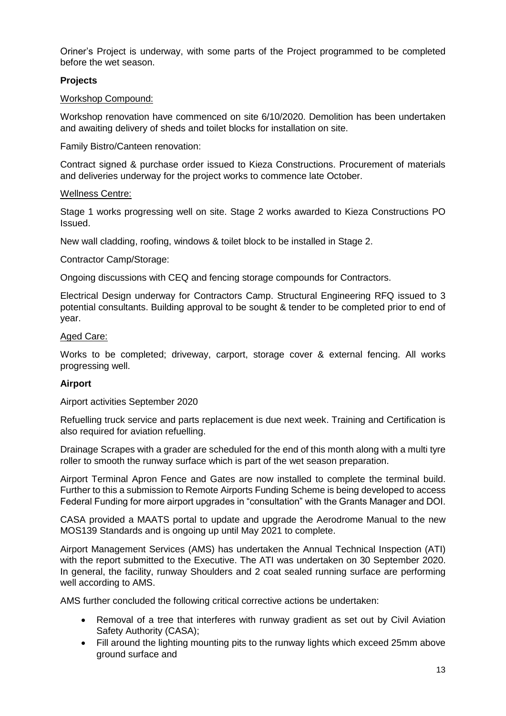Oriner's Project is underway, with some parts of the Project programmed to be completed before the wet season.

## **Projects**

### Workshop Compound:

Workshop renovation have commenced on site 6/10/2020. Demolition has been undertaken and awaiting delivery of sheds and toilet blocks for installation on site.

Family Bistro/Canteen renovation:

Contract signed & purchase order issued to Kieza Constructions. Procurement of materials and deliveries underway for the project works to commence late October.

### Wellness Centre:

Stage 1 works progressing well on site. Stage 2 works awarded to Kieza Constructions PO Issued.

New wall cladding, roofing, windows & toilet block to be installed in Stage 2.

Contractor Camp/Storage:

Ongoing discussions with CEQ and fencing storage compounds for Contractors.

Electrical Design underway for Contractors Camp. Structural Engineering RFQ issued to 3 potential consultants. Building approval to be sought & tender to be completed prior to end of year.

### Aged Care:

Works to be completed; driveway, carport, storage cover & external fencing. All works progressing well.

### **Airport**

Airport activities September 2020

Refuelling truck service and parts replacement is due next week. Training and Certification is also required for aviation refuelling.

Drainage Scrapes with a grader are scheduled for the end of this month along with a multi tyre roller to smooth the runway surface which is part of the wet season preparation.

Airport Terminal Apron Fence and Gates are now installed to complete the terminal build. Further to this a submission to Remote Airports Funding Scheme is being developed to access Federal Funding for more airport upgrades in "consultation" with the Grants Manager and DOI.

CASA provided a MAATS portal to update and upgrade the Aerodrome Manual to the new MOS139 Standards and is ongoing up until May 2021 to complete.

Airport Management Services (AMS) has undertaken the Annual Technical Inspection (ATI) with the report submitted to the Executive. The ATI was undertaken on 30 September 2020. In general, the facility, runway Shoulders and 2 coat sealed running surface are performing well according to AMS.

AMS further concluded the following critical corrective actions be undertaken:

- Removal of a tree that interferes with runway gradient as set out by Civil Aviation Safety Authority (CASA);
- Fill around the lighting mounting pits to the runway lights which exceed 25mm above ground surface and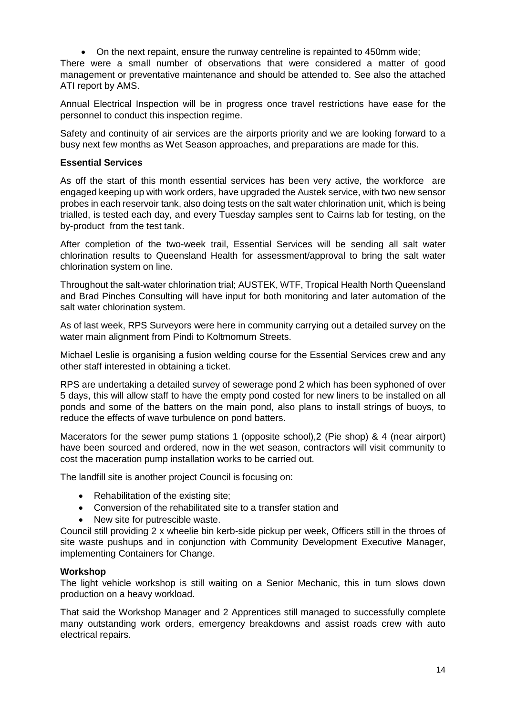• On the next repaint, ensure the runway centreline is repainted to 450mm wide;

There were a small number of observations that were considered a matter of good management or preventative maintenance and should be attended to. See also the attached ATI report by AMS.

Annual Electrical Inspection will be in progress once travel restrictions have ease for the personnel to conduct this inspection regime.

Safety and continuity of air services are the airports priority and we are looking forward to a busy next few months as Wet Season approaches, and preparations are made for this.

### **Essential Services**

As off the start of this month essential services has been very active, the workforce are engaged keeping up with work orders, have upgraded the Austek service, with two new sensor probes in each reservoir tank, also doing tests on the salt water chlorination unit, which is being trialled, is tested each day, and every Tuesday samples sent to Cairns lab for testing, on the by-product from the test tank.

After completion of the two-week trail, Essential Services will be sending all salt water chlorination results to Queensland Health for assessment/approval to bring the salt water chlorination system on line.

Throughout the salt-water chlorination trial; AUSTEK, WTF, Tropical Health North Queensland and Brad Pinches Consulting will have input for both monitoring and later automation of the salt water chlorination system.

As of last week, RPS Surveyors were here in community carrying out a detailed survey on the water main alignment from Pindi to Koltmomum Streets.

Michael Leslie is organising a fusion welding course for the Essential Services crew and any other staff interested in obtaining a ticket.

RPS are undertaking a detailed survey of sewerage pond 2 which has been syphoned of over 5 days, this will allow staff to have the empty pond costed for new liners to be installed on all ponds and some of the batters on the main pond, also plans to install strings of buoys, to reduce the effects of wave turbulence on pond batters.

Macerators for the sewer pump stations 1 (opposite school),2 (Pie shop) & 4 (near airport) have been sourced and ordered, now in the wet season, contractors will visit community to cost the maceration pump installation works to be carried out.

The landfill site is another project Council is focusing on:

- Rehabilitation of the existing site;
- Conversion of the rehabilitated site to a transfer station and
- New site for putrescible waste.

Council still providing 2 x wheelie bin kerb-side pickup per week, Officers still in the throes of site waste pushups and in conjunction with Community Development Executive Manager, implementing Containers for Change.

### **Workshop**

The light vehicle workshop is still waiting on a Senior Mechanic, this in turn slows down production on a heavy workload.

That said the Workshop Manager and 2 Apprentices still managed to successfully complete many outstanding work orders, emergency breakdowns and assist roads crew with auto electrical repairs.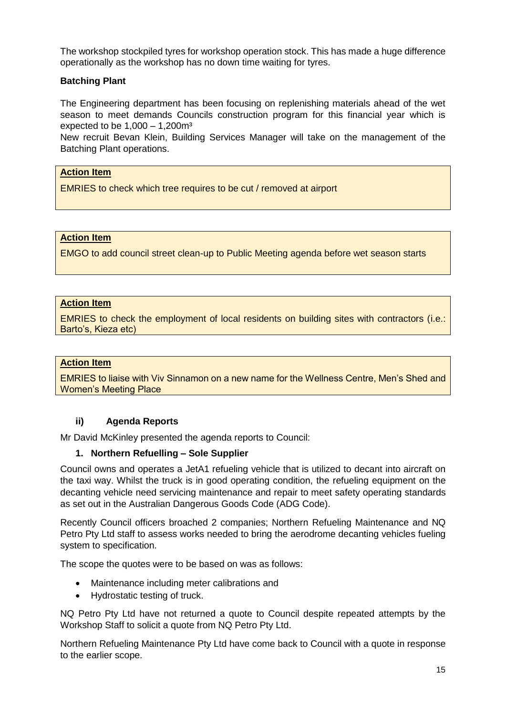The workshop stockpiled tyres for workshop operation stock. This has made a huge difference operationally as the workshop has no down time waiting for tyres.

## **Batching Plant**

The Engineering department has been focusing on replenishing materials ahead of the wet season to meet demands Councils construction program for this financial year which is expected to be  $1,000 - 1,200m<sup>3</sup>$ 

New recruit Bevan Klein, Building Services Manager will take on the management of the Batching Plant operations.

## **Action Item**

EMRIES to check which tree requires to be cut / removed at airport

## **Action Item**

EMGO to add council street clean-up to Public Meeting agenda before wet season starts

#### **Action Item**

EMRIES to check the employment of local residents on building sites with contractors (i.e.: Barto's, Kieza etc)

#### **Action Item**

EMRIES to liaise with Viv Sinnamon on a new name for the Wellness Centre, Men's Shed and Women's Meeting Place

### **ii) Agenda Reports**

Mr David McKinley presented the agenda reports to Council:

### **1. Northern Refuelling – Sole Supplier**

Council owns and operates a JetA1 refueling vehicle that is utilized to decant into aircraft on the taxi way. Whilst the truck is in good operating condition, the refueling equipment on the decanting vehicle need servicing maintenance and repair to meet safety operating standards as set out in the Australian Dangerous Goods Code (ADG Code).

Recently Council officers broached 2 companies; Northern Refueling Maintenance and NQ Petro Pty Ltd staff to assess works needed to bring the aerodrome decanting vehicles fueling system to specification.

The scope the quotes were to be based on was as follows:

- Maintenance including meter calibrations and
- Hydrostatic testing of truck.

NQ Petro Pty Ltd have not returned a quote to Council despite repeated attempts by the Workshop Staff to solicit a quote from NQ Petro Pty Ltd.

Northern Refueling Maintenance Pty Ltd have come back to Council with a quote in response to the earlier scope.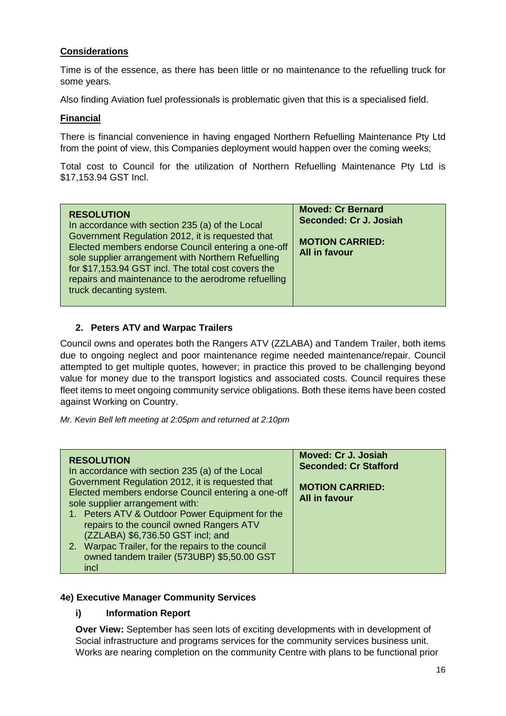# **Considerations**

Time is of the essence, as there has been little or no maintenance to the refuelling truck for some years.

Also finding Aviation fuel professionals is problematic given that this is a specialised field.

## **Financial**

There is financial convenience in having engaged Northern Refuelling Maintenance Pty Ltd from the point of view, this Companies deployment would happen over the coming weeks;

Total cost to Council for the utilization of Northern Refuelling Maintenance Pty Ltd is \$17,153.94 GST Incl.

| <b>RESOLUTION</b><br>In accordance with section 235 (a) of the Local<br>Government Regulation 2012, it is requested that<br>Elected members endorse Council entering a one-off<br>sole supplier arrangement with Northern Refuelling<br>for \$17,153.94 GST incl. The total cost covers the<br>repairs and maintenance to the aerodrome refuelling<br>truck decanting system. | <b>Moved: Cr Bernard</b><br>Seconded: Cr J. Josiah<br><b>MOTION CARRIED:</b><br><b>All in favour</b> |
|-------------------------------------------------------------------------------------------------------------------------------------------------------------------------------------------------------------------------------------------------------------------------------------------------------------------------------------------------------------------------------|------------------------------------------------------------------------------------------------------|
|-------------------------------------------------------------------------------------------------------------------------------------------------------------------------------------------------------------------------------------------------------------------------------------------------------------------------------------------------------------------------------|------------------------------------------------------------------------------------------------------|

# **2. Peters ATV and Warpac Trailers**

Council owns and operates both the Rangers ATV (ZZLABA) and Tandem Trailer, both items due to ongoing neglect and poor maintenance regime needed maintenance/repair. Council attempted to get multiple quotes, however; in practice this proved to be challenging beyond value for money due to the transport logistics and associated costs. Council requires these fleet items to meet ongoing community service obligations. Both these items have been costed against Working on Country.

*Mr. Kevin Bell left meeting at 2:05pm and returned at 2:10pm*

| <b>RESOLUTION</b><br>In accordance with section 235 (a) of the Local<br>Government Regulation 2012, it is requested that<br>Elected members endorse Council entering a one-off<br>sole supplier arrangement with:<br>1. Peters ATV & Outdoor Power Equipment for the<br>repairs to the council owned Rangers ATV<br>(ZZLABA) \$6,736.50 GST incl; and<br>2. Warpac Trailer, for the repairs to the council<br>owned tandem trailer (573UBP) \$5,50.00 GST<br>incl | Moved: Cr J. Josiah<br><b>Seconded: Cr Stafford</b><br><b>MOTION CARRIED:</b><br><b>All in favour</b> |
|-------------------------------------------------------------------------------------------------------------------------------------------------------------------------------------------------------------------------------------------------------------------------------------------------------------------------------------------------------------------------------------------------------------------------------------------------------------------|-------------------------------------------------------------------------------------------------------|
|-------------------------------------------------------------------------------------------------------------------------------------------------------------------------------------------------------------------------------------------------------------------------------------------------------------------------------------------------------------------------------------------------------------------------------------------------------------------|-------------------------------------------------------------------------------------------------------|

### **4e) Executive Manager Community Services**

# **i) Information Report**

**Over View:** September has seen lots of exciting developments with in development of Social infrastructure and programs services for the community services business unit. Works are nearing completion on the community Centre with plans to be functional prior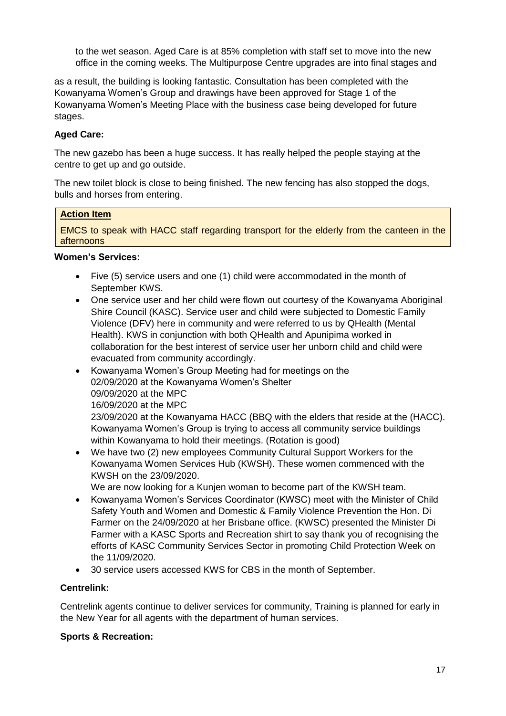to the wet season. Aged Care is at 85% completion with staff set to move into the new office in the coming weeks. The Multipurpose Centre upgrades are into final stages and

as a result, the building is looking fantastic. Consultation has been completed with the Kowanyama Women's Group and drawings have been approved for Stage 1 of the Kowanyama Women's Meeting Place with the business case being developed for future stages.

# **Aged Care:**

The new gazebo has been a huge success. It has really helped the people staying at the centre to get up and go outside.

The new toilet block is close to being finished. The new fencing has also stopped the dogs, bulls and horses from entering.

#### **Action Item**

EMCS to speak with HACC staff regarding transport for the elderly from the canteen in the afternoons

# **Women's Services:**

- Five (5) service users and one (1) child were accommodated in the month of September KWS.
- One service user and her child were flown out courtesy of the Kowanyama Aboriginal Shire Council (KASC). Service user and child were subjected to Domestic Family Violence (DFV) here in community and were referred to us by QHealth (Mental Health). KWS in conjunction with both QHealth and Apunipima worked in collaboration for the best interest of service user her unborn child and child were evacuated from community accordingly.
- Kowanyama Women's Group Meeting had for meetings on the 02/09/2020 at the Kowanyama Women's Shelter 09/09/2020 at the MPC 16/09/2020 at the MPC

23/09/2020 at the Kowanyama HACC (BBQ with the elders that reside at the (HACC). Kowanyama Women's Group is trying to access all community service buildings within Kowanyama to hold their meetings. (Rotation is good)

• We have two (2) new employees Community Cultural Support Workers for the Kowanyama Women Services Hub (KWSH). These women commenced with the KWSH on the 23/09/2020.

We are now looking for a Kunjen woman to become part of the KWSH team.

- Kowanyama Women's Services Coordinator (KWSC) meet with the Minister of Child Safety Youth and Women and Domestic & Family Violence Prevention the Hon. Di Farmer on the 24/09/2020 at her Brisbane office. (KWSC) presented the Minister Di Farmer with a KASC Sports and Recreation shirt to say thank you of recognising the efforts of KASC Community Services Sector in promoting Child Protection Week on the 11/09/2020.
- 30 service users accessed KWS for CBS in the month of September.

### **Centrelink:**

Centrelink agents continue to deliver services for community, Training is planned for early in the New Year for all agents with the department of human services.

### **Sports & Recreation:**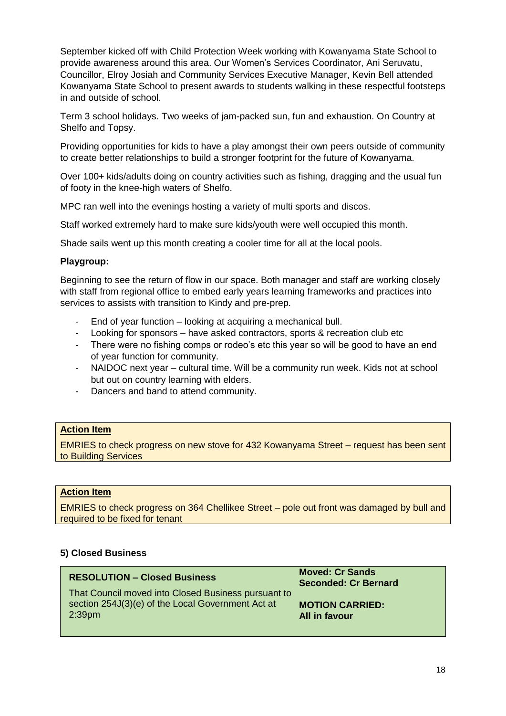September kicked off with Child Protection Week working with Kowanyama State School to provide awareness around this area. Our Women's Services Coordinator, Ani Seruvatu, Councillor, Elroy Josiah and Community Services Executive Manager, Kevin Bell attended Kowanyama State School to present awards to students walking in these respectful footsteps in and outside of school.

Term 3 school holidays. Two weeks of jam-packed sun, fun and exhaustion. On Country at Shelfo and Topsy.

Providing opportunities for kids to have a play amongst their own peers outside of community to create better relationships to build a stronger footprint for the future of Kowanyama.

Over 100+ kids/adults doing on country activities such as fishing, dragging and the usual fun of footy in the knee-high waters of Shelfo.

MPC ran well into the evenings hosting a variety of multi sports and discos.

Staff worked extremely hard to make sure kids/youth were well occupied this month.

Shade sails went up this month creating a cooler time for all at the local pools.

### **Playgroup:**

Beginning to see the return of flow in our space. Both manager and staff are working closely with staff from regional office to embed early years learning frameworks and practices into services to assists with transition to Kindy and pre-prep.

- End of year function looking at acquiring a mechanical bull.
- Looking for sponsors have asked contractors, sports & recreation club etc
- There were no fishing comps or rodeo's etc this year so will be good to have an end of year function for community.
- NAIDOC next year cultural time. Will be a community run week. Kids not at school but out on country learning with elders.
- Dancers and band to attend community.

#### **Action Item**

EMRIES to check progress on new stove for 432 Kowanyama Street – request has been sent to Building Services

## **Action Item**

EMRIES to check progress on 364 Chellikee Street – pole out front was damaged by bull and required to be fixed for tenant

#### **5) Closed Business**

| <b>RESOLUTION - Closed Business</b>                                                                                            | <b>Moved: Cr Sands</b><br><b>Seconded: Cr Bernard</b> |  |  |
|--------------------------------------------------------------------------------------------------------------------------------|-------------------------------------------------------|--|--|
| That Council moved into Closed Business pursuant to<br>section 254J(3)(e) of the Local Government Act at<br>2:39 <sub>pm</sub> | <b>MOTION CARRIED:</b><br>All in favour               |  |  |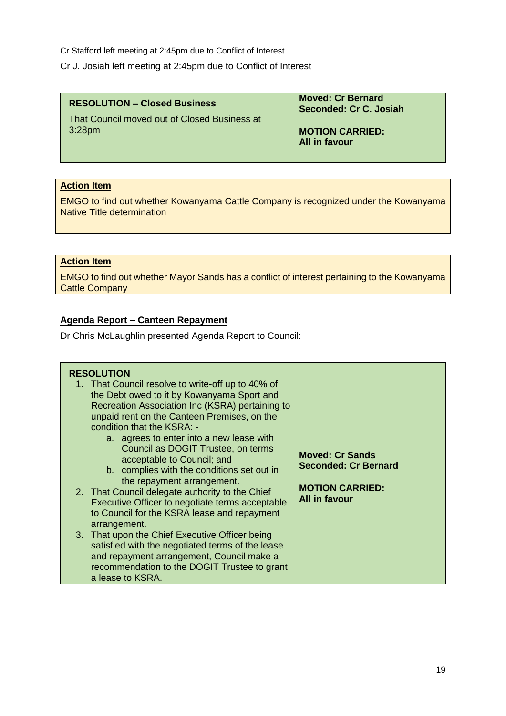Cr Stafford left meeting at 2:45pm due to Conflict of Interest.

Cr J. Josiah left meeting at 2:45pm due to Conflict of Interest

**RESOLUTION – Closed Business**

**Moved: Cr Bernard Seconded: Cr C. Josiah**

That Council moved out of Closed Business at 3:28pm

**MOTION CARRIED: All in favour** 

## **Action Item**

EMGO to find out whether Kowanyama Cattle Company is recognized under the Kowanyama Native Title determination

# **Action Item**

EMGO to find out whether Mayor Sands has a conflict of interest pertaining to the Kowanyama Cattle Company

## **Agenda Report – Canteen Repayment**

Dr Chris McLaughlin presented Agenda Report to Council:

### **RESOLUTION**

- 1. That Council resolve to write-off up to 40% of the Debt owed to it by Kowanyama Sport and Recreation Association Inc (KSRA) pertaining to unpaid rent on the Canteen Premises, on the condition that the KSRA:
	- a. agrees to enter into a new lease with Council as DOGIT Trustee, on terms acceptable to Council; and
	- b. complies with the conditions set out in the repayment arrangement.
- 2. That Council delegate authority to the Chief Executive Officer to negotiate terms acceptable to Council for the KSRA lease and repayment arrangement.
- 3. That upon the Chief Executive Officer being satisfied with the negotiated terms of the lease and repayment arrangement, Council make a recommendation to the DOGIT Trustee to grant a lease to KSRA.

**Moved: Cr Sands Seconded: Cr Bernard**

**MOTION CARRIED: All in favour**